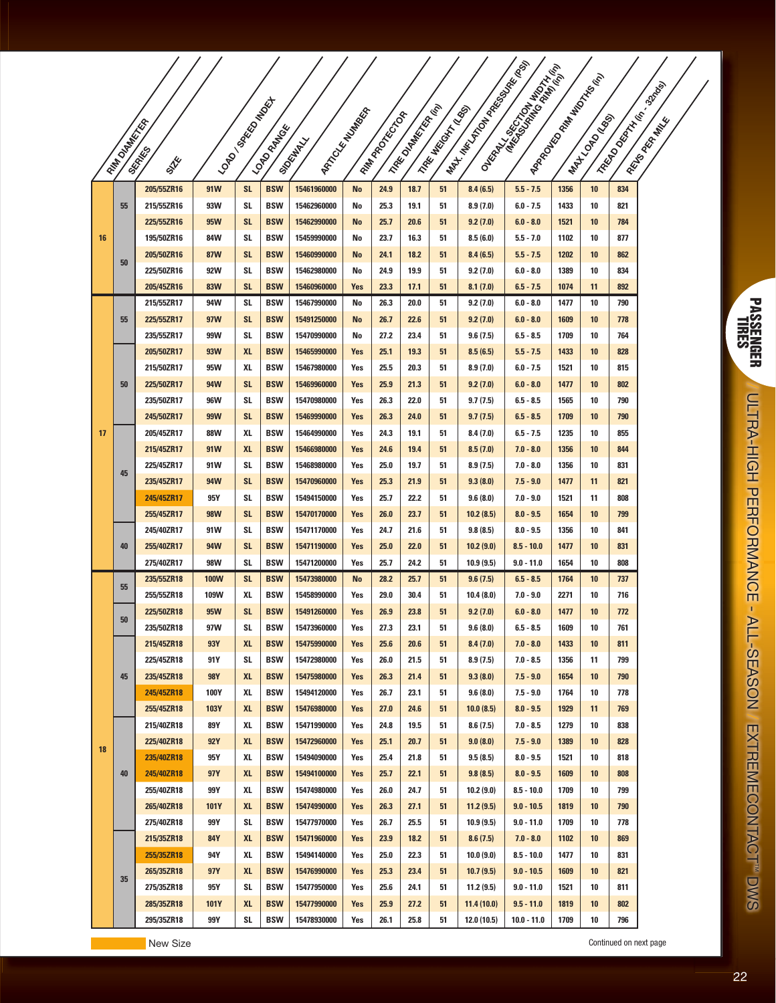|    |                     |                          |             |                 |                          |                            |                      |                  |                           |                    | I Max Tool Max Max Max | A Oksay, Charles Report of Marine | I APROXIMATED TO THIS TOOL |            |            |                       |
|----|---------------------|--------------------------|-------------|-----------------|--------------------------|----------------------------|----------------------|------------------|---------------------------|--------------------|------------------------|-----------------------------------|----------------------------|------------|------------|-----------------------|
|    |                     |                          |             |                 |                          |                            |                      |                  |                           |                    |                        |                                   |                            |            |            | I Regional Manuscript |
|    |                     |                          |             |                 |                          |                            |                      |                  |                           |                    |                        |                                   |                            |            |            |                       |
|    |                     |                          |             |                 |                          |                            |                      |                  |                           |                    |                        |                                   |                            |            |            |                       |
|    |                     |                          |             |                 |                          |                            |                      |                  |                           |                    |                        |                                   |                            |            |            |                       |
|    | <b>FAM DIAMERER</b> | <b>SKRAKES</b><br>STE    |             | I LONDON BROWN  | <b>LONDON</b>            | <b>Siguiday</b>            | I APTICLE MANUSCRIPT | I Real Processor | I Hake Onderstown (River) | I TREE MISSION NOS |                        |                                   |                            | I MATONIAN |            | I Religion Rate       |
|    |                     | 205/55ZR16               | 91W         | <b>SL</b>       | <b>BSW</b>               | 15461960000                | <b>No</b>            | 24.9             | 18.7                      | 51                 | 8.4(6.5)               | $5.5 - 7.5$                       | 1356                       | 10         | 834        |                       |
|    | 55                  | 215/55ZR16               | 93W         | SL              | <b>BSW</b>               | 15462960000                | No                   | 25.3             | 19.1                      | 51                 | 8.9(7.0)               | $6.0 - 7.5$                       | 1433                       | 10         | 821        |                       |
| 16 |                     | 225/55ZR16               | 95W         | <b>SL</b>       | <b>BSW</b>               | 15462990000                | No                   | 25.7             | 20.6                      | 51                 | 9.2(7.0)               | $6.0 - 8.0$                       | 1521                       | 10         | 784        |                       |
|    |                     | 195/50ZR16               | 84W         | SL              | <b>BSW</b>               | 15459990000                | No                   | 23.7             | 16.3                      | 51                 | 8.5(6.0)               | $5.5 - 7.0$                       | 1102                       | 10         | 877        |                       |
|    |                     | 205/50ZR16               | <b>87W</b>  | <b>SL</b>       | <b>BSW</b>               | 15460990000                | No                   | 24.1             | 18.2                      | 51                 | 8.4(6.5)               | $5.5 - 7.5$                       | 1202                       | 10         | 862        |                       |
|    | 50                  | 225/50ZR16               | 92W         | SL              | <b>BSW</b>               | 15462980000                | No                   | 24.9             | 19.9                      | 51                 | 9.2(7.0)               | $6.0 - 8.0$                       | 1389                       | 10         | 834        |                       |
|    |                     | 205/45ZR16               | <b>83W</b>  | <b>SL</b>       | <b>BSW</b>               | 15460960000                | Yes                  | 23.3             | 17.1                      | 51                 | 8.1(7.0)               | $6.5 - 7.5$                       | 1074                       | 11         | 892        |                       |
|    |                     | 215/55ZR17               | 94W         | SL              | <b>BSW</b>               | 15467990000                | No                   | 26.3             | 20.0                      | 51                 | 9.2(7.0)               | $6.0 - 8.0$                       | 1477                       | 10         | 790        |                       |
|    | 55                  | 225/55ZR17               | 97W         | <b>SL</b>       | <b>BSW</b>               | 15491250000                | <b>No</b>            | 26.7             | 22.6                      | 51                 | 9.2(7.0)               | $6.0 - 8.0$                       | 1609                       | 10         | 778        |                       |
|    |                     | 235/55ZR17               | 99W         | SL              | <b>BSW</b>               | 15470990000                | No                   | 27.2             | 23.4                      | 51                 | 9.6(7.5)               | $6.5 - 8.5$                       | 1709                       | 10         | 764        |                       |
| 17 | 50                  | 205/50ZR17               | 93W         | <b>XL</b>       | <b>BSW</b>               | 15465990000                | Yes                  | 25.1             | 19.3                      | 51                 | 8.5(6.5)               | $5.5 - 7.5$                       | 1433                       | 10         | 828        |                       |
|    |                     | 215/50ZR17               | 95W         | XL              | <b>BSW</b>               | 15467980000                | Yes                  | 25.5             | 20.3                      | 51                 | 8.9(7.0)               | $6.0 - 7.5$                       | 1521                       | 10         | 815        |                       |
|    |                     | 225/50ZR17               | 94W         | <b>SL</b>       | <b>BSW</b>               | 15469960000                | Yes                  | 25.9             | 21.3                      | 51                 | 9.2(7.0)               | $6.0 - 8.0$                       | 1477                       | 10         | 802        |                       |
|    |                     | 235/50ZR17               | 96W         | SL              | <b>BSW</b>               | 15470980000                | Yes                  | 26.3             | 22.0                      | 51                 | 9.7(7.5)               | $6.5 - 8.5$                       | 1565                       | 10         | 790        |                       |
|    |                     | 245/50ZR17<br>205/45ZR17 | 99W<br>88W  | <b>SL</b><br>XL | <b>BSW</b><br><b>BSW</b> | 15469990000<br>15464990000 | Yes<br>Yes           | 26.3<br>24.3     | 24.0<br>19.1              | 51<br>51           | 9.7(7.5)<br>8.4(7.0)   | $6.5 - 8.5$<br>$6.5 - 7.5$        | 1709<br>1235               | 10<br>10   | 790<br>855 |                       |
|    | 45                  | 215/45ZR17               | 91W         | <b>XL</b>       | <b>BSW</b>               | 15466980000                | Yes                  | 24.6             | 19.4                      | 51                 | 8.5(7.0)               | $7.0 - 8.0$                       | 1356                       | 10         | 844        |                       |
|    |                     | 225/45ZR17               | 91W         | SL              | <b>BSW</b>               | 15468980000                | Yes                  | 25.0             | 19.7                      | 51                 | 8.9(7.5)               | $7.0 - 8.0$                       | 1356                       | 10         | 831        |                       |
|    |                     | 235/45ZR17               | 94W         | <b>SL</b>       | <b>BSW</b>               | 15470960000                | Yes                  | 25.3             | 21.9                      | 51                 | 9.3(8.0)               | $7.5 - 9.0$                       | 1477                       | 11         | 821        |                       |
|    |                     | 245/45ZR17               | 95Y         | SL              | <b>BSW</b>               | 15494150000                | Yes                  | 25.7             | 22.2                      | 51                 | 9.6(8.0)               | $7.0 - 9.0$                       | 1521                       | 11         | 808        |                       |
|    |                     | 255/45ZR17               | <b>98W</b>  | <b>SL</b>       | <b>BSW</b>               | 15470170000                | Yes                  | 26.0             | 23.7                      | 51                 | 10.2(8.5)              | $8.0 - 9.5$                       | 1654                       | 10         | 799        |                       |
|    | 40                  | 245/40ZR17               | 91W         | SL              | <b>BSW</b>               | 15471170000                | Yes                  | 24.7             | 21.6                      | 51                 | 9.8(8.5)               | $8.0 - 9.5$                       | 1356                       | 10         | 841        |                       |
|    |                     | 255/40ZR17               | 94W         | <b>SL</b>       | <b>BSW</b>               | 15471190000                | Yes                  | 25.0             | 22.0                      | 51                 | 10.2(9.0)              | $8.5 - 10.0$                      | 1477                       | 10         | 831        |                       |
|    |                     | 275/40ZR17               | 98W         | SL              | <b>BSW</b>               | 15471200000                | Yes                  | 25.7             | 24.2                      | 51                 | 10.9 (9.5)             | $9.0 - 11.0$                      | 1654                       | 10         | 808        |                       |
|    | 55                  | 235/55ZR18               | <b>100W</b> | SL              | <b>BSW</b>               | 15473980000                | <b>No</b>            | 28.2             | 25.7                      | 51                 | 9.6(7.5)               | $6.5 - 8.5$                       | 1764                       | 10         | 737        |                       |
|    | 50                  | 255/55ZR18               | 109W        | XL              | <b>BSW</b>               | 15458990000                | Yes                  | 29.0             | 30.4                      | 51                 | 10.4 (8.0)             | $7.0 - 9.0$                       | 2271                       | 10         | 716        |                       |
|    |                     | 225/50ZR18               | 95W         | <b>SL</b>       | <b>BSW</b>               | 15491260000                | Yes                  | 26.9             | 23.8                      | 51                 | 9.2(7.0)               | $6.0 - 8.0$                       | 1477                       | 10         | 772        |                       |
|    | 45                  | 235/50ZR18               | 97W         | SL              | <b>BSW</b>               | 15473960000                | Yes                  | 27.3             | 23.1                      | 51                 | 9.6(8.0)               | $6.5 - 8.5$                       | 1609                       | 10         | 761        |                       |
|    |                     | 215/45ZR18               | 93Y         | <b>XL</b>       | <b>BSW</b>               | 15475990000                | Yes                  | 25.6             | 20.6                      | 51                 | 8.4(7.0)               | $7.0 - 8.0$                       | 1433                       | 10         | 811        |                       |
|    |                     | 225/45ZR18               | 91 Y<br>98Y | SL              | <b>BSW</b>               | 15472980000<br>15475980000 | Yes                  | 26.0             | 21.5                      | 51                 | 8.9(7.5)               | $7.0 - 8.5$                       | 1356                       | 11         | 799        |                       |
| 18 |                     | 235/45ZR18<br>245/45ZR18 | 100Y        | XL<br>XL        | <b>BSW</b><br><b>BSW</b> | 15494120000                | Yes<br>Yes           | 26.3<br>26.7     | 21.4<br>23.1              | 51<br>51           | 9.3(8.0)<br>9.6(8.0)   | $7.5 - 9.0$<br>$7.5 - 9.0$        | 1654<br>1764               | 10<br>10   | 790<br>778 |                       |
|    |                     | 255/45ZR18               | 103Y        | <b>XL</b>       | <b>BSW</b>               | 15476980000                | Yes                  | 27.0             | 24.6                      | 51                 | 10.0(8.5)              | $8.0 - 9.5$                       | 1929                       | 11         | 769        |                       |
|    |                     | 215/40ZR18               | 89Y         | XL              | <b>BSW</b>               | 15471990000                | Yes                  | 24.8             | 19.5                      | 51                 | 8.6(7.5)               | $7.0 - 8.5$                       | 1279                       | 10         | 838        |                       |
|    |                     | 225/40ZR18               | 92Y         | <b>XL</b>       | <b>BSW</b>               | 15472960000                | Yes                  | 25.1             | 20.7                      | 51                 | 9.0(8.0)               | $7.5 - 9.0$                       | 1389                       | 10         | 828        |                       |
|    | 40                  | 235/40ZR18               | 95Y         | XL              | <b>BSW</b>               | 15494090000                | Yes                  | 25.4             | 21.8                      | 51                 | 9.5(8.5)               | $8.0 - 9.5$                       | 1521                       | 10         | 818        |                       |
|    |                     | 245/40ZR18               | 97Y         | <b>XL</b>       | <b>BSW</b>               | 15494100000                | Yes                  | 25.7             | 22.1                      | 51                 | 9.8(8.5)               | $8.0 - 9.5$                       | 1609                       | 10         | 808        |                       |
|    |                     | 255/40ZR18               | 99 Y        | XL              | <b>BSW</b>               | 15474980000                | Yes                  | 26.0             | 24.7                      | 51                 | 10.2(9.0)              | $8.5 - 10.0$                      | 1709                       | 10         | 799        |                       |
|    |                     | 265/40ZR18               | 101Y        | <b>XL</b>       | <b>BSW</b>               | 15474990000                | Yes                  | 26.3             | 27.1                      | 51                 | 11.2(9.5)              | $9.0 - 10.5$                      | 1819                       | 10         | 790        |                       |
|    |                     | 275/40ZR18               | 99 Y        | SL              | <b>BSW</b>               | 15477970000                | Yes                  | 26.7             | 25.5                      | 51                 | 10.9 (9.5)             | $9.0 - 11.0$                      | 1709                       | 10         | 778        |                       |
|    |                     | 215/35ZR18               | 84Y         | <b>XL</b>       | <b>BSW</b>               | 15471960000                | Yes                  | 23.9             | 18.2                      | 51                 | 8.6(7.5)               | $7.0 - 8.0$                       | 1102                       | 10         | 869        |                       |
|    |                     | 255/35ZR18               | 94Y         | XL              | <b>BSW</b>               | 15494140000                | Yes                  | 25.0             | 22.3                      | 51                 | 10.0(9.0)              | $8.5 - 10.0$                      | 1477                       | 10         | 831        |                       |
|    | 35                  | 265/35ZR18               | 97Y         | <b>XL</b>       | <b>BSW</b>               | 15476990000                | Yes                  | 25.3             | 23.4                      | 51                 | 10.7(9.5)              | $9.0 - 10.5$                      | 1609                       | 10         | 821        |                       |
|    |                     | 275/35ZR18               | 95Y         | SL              | <b>BSW</b>               | 15477950000                | Yes                  | 25.6             | 24.1                      | 51                 | 11.2(9.5)              | $9.0 - 11.0$                      | 1521                       | 10         | 811        |                       |
|    |                     | 285/35ZR18               | 101Y        | <b>XL</b>       | <b>BSW</b>               | 15477990000                | Yes                  | 25.9             | 27.2                      | 51                 | 11.4(10.0)             | $9.5 - 11.0$                      | 1819                       | 10         | 802        |                       |
|    |                     | 295/35ZR18               | 99Y         | SL              | <b>BSW</b>               | 15478930000                | Yes                  | 26.1             | 25.8                      | 51                 | 12.0(10.5)             | $10.0 - 11.0$                     | 1709                       | 10         | 796        |                       |

Continued on next page New Size Continued on next page

PASSENGER PASSENGER<br>TIRES